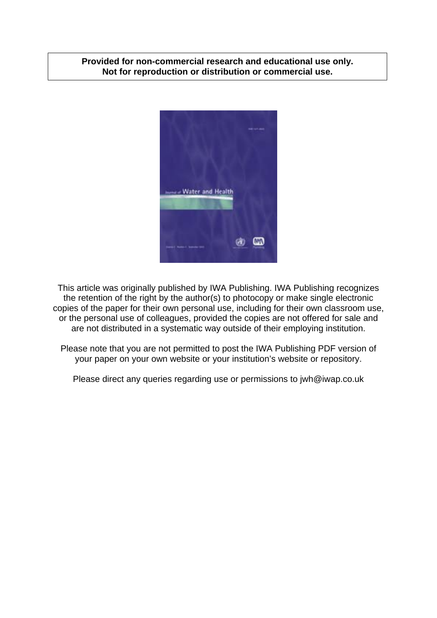# **Provided for non-commercial research and educational use only. Not for reproduction or distribution or commercial use.**



This article was originally published by IWA Publishing. IWA Publishing recognizes the retention of the right by the author(s) to photocopy or make single electronic copies of the paper for their own personal use, including for their own classroom use, or the personal use of colleagues, provided the copies are not offered for sale and are not distributed in a systematic way outside of their employing institution.

Please note that you are not permitted to post the IWA Publishing PDF version of your paper on your own website or your institution's website or repository.

Please direct any queries regarding use or permissions to jwh@iwap.co.uk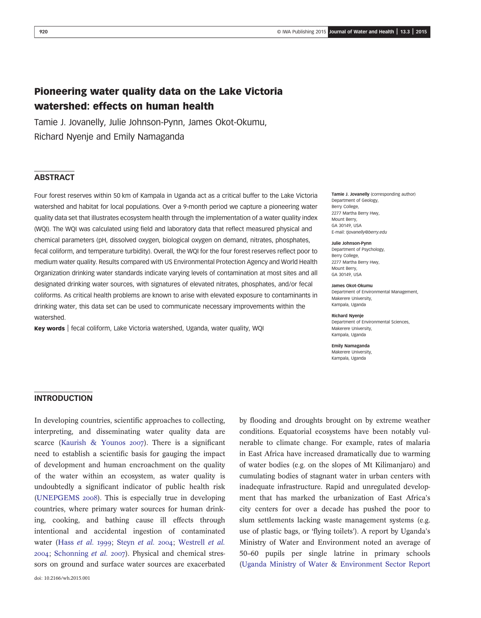# Pioneering water quality data on the Lake Victoria watershed: effects on human health

Tamie J. Jovanelly, Julie Johnson-Pynn, James Okot-Okumu, Richard Nyenje and Emily Namaganda

# **ABSTRACT**

Four forest reserves within 50 km of Kampala in Uganda act as a critical buffer to the Lake Victoria watershed and habitat for local populations. Over a 9-month period we capture a pioneering water quality data set that illustrates ecosystem health through the implementation of a water quality index (WQI). The WQI was calculated using field and laboratory data that reflect measured physical and chemical parameters (pH, dissolved oxygen, biological oxygen on demand, nitrates, phosphates, fecal coliform, and temperature turbidity). Overall, the WQI for the four forest reserves reflect poor to medium water quality. Results compared with US Environmental Protection Agency and World Health Organization drinking water standards indicate varying levels of contamination at most sites and all designated drinking water sources, with signatures of elevated nitrates, phosphates, and/or fecal coliforms. As critical health problems are known to arise with elevated exposure to contaminants in drinking water, this data set can be used to communicate necessary improvements within the watershed.

Key words | fecal coliform, Lake Victoria watershed, Uganda, water quality, WQI

Tamie J. Jovanelly (corresponding author) Department of Geology, Berry College, 2277 Martha Berry Hwy, Mount Berry, GA 30149, USA E-mail: [tjovanelly@berry.edu](mailto:tjovanelly@berry.edu)

#### Julie Johnson-Pynn

Department of Psychology, Berry College, 2277 Martha Berry Hwy, Mount Berry, GA 30149, USA

#### James Okot-Okumu

Department of Environmental Management, Makerere University, Kampala, Uganda

#### Richard Nyenje

Department of Environmental Sciences, Makerere University, Kampala, Uganda

Emily Namaganda Makerere University, Kampala, Uganda

# INTRODUCTION

In developing countries, scientific approaches to collecting, interpreting, and disseminating water quality data are scarce (Kaurish & Younos  $2007$ ). There is a significant need to establish a scientific basis for gauging the impact of development and human encroachment on the quality of the water within an ecosystem, as water quality is undoubtedly a significant indicator of public health risk (UNEPGEMS 2008). This is especially true in developing countries, where primary water sources for human drinking, cooking, and bathing cause ill effects through intentional and accidental ingestion of contaminated water (Hass et al. 1999; Steyn et al. 2004; Westrell et al.  $2004$ ; Schonning *et al.*  $2007$ ). Physical and chemical stressors on ground and surface water sources are exacerbated

doi: 10.2166/wh.2015.001

by flooding and droughts brought on by extreme weather conditions. Equatorial ecosystems have been notably vulnerable to climate change. For example, rates of malaria in East Africa have increased dramatically due to warming of water bodies (e.g. on the slopes of Mt Kilimanjaro) and cumulating bodies of stagnant water in urban centers with inadequate infrastructure. Rapid and unregulated development that has marked the urbanization of East Africa's city centers for over a decade has pushed the poor to slum settlements lacking waste management systems (e.g. use of plastic bags, or 'flying toilets'). A report by Uganda's Ministry of Water and Environment noted an average of 50–60 pupils per single latrine in primary schools (Uganda Ministry of Water & Environment Sector Report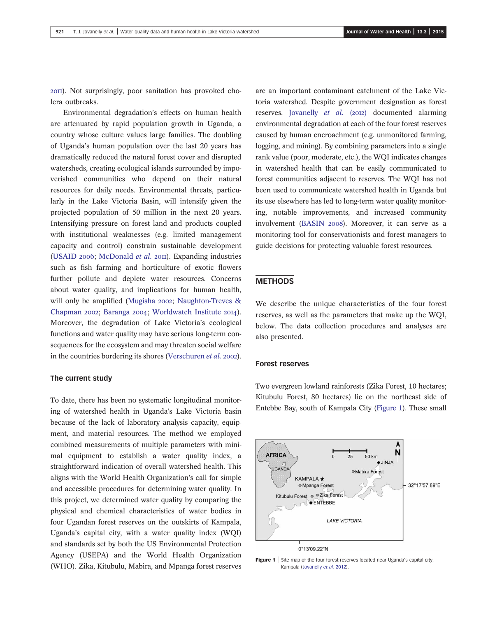). Not surprisingly, poor sanitation has provoked cholera outbreaks.

Environmental degradation's effects on human health are attenuated by rapid population growth in Uganda, a country whose culture values large families. The doubling of Uganda's human population over the last 20 years has dramatically reduced the natural forest cover and disrupted watersheds, creating ecological islands surrounded by impoverished communities who depend on their natural resources for daily needs. Environmental threats, particularly in the Lake Victoria Basin, will intensify given the projected population of 50 million in the next 20 years. Intensifying pressure on forest land and products coupled with institutional weaknesses (e.g. limited management capacity and control) constrain sustainable development (USAID 2006; McDonald et al. 2011). Expanding industries such as fish farming and horticulture of exotic flowers further pollute and deplete water resources. Concerns about water quality, and implications for human health, will only be amplified (Mugisha 2002; Naughton-Treves  $\&$ Chapman 2002; Baranga 2004; Worldwatch Institute 2014). Moreover, the degradation of Lake Victoria's ecological functions and water quality may have serious long-term consequences for the ecosystem and may threaten social welfare in the countries bordering its shores (Verschuren et al. 2002).

#### The current study

To date, there has been no systematic longitudinal monitoring of watershed health in Uganda's Lake Victoria basin because of the lack of laboratory analysis capacity, equipment, and material resources. The method we employed combined measurements of multiple parameters with minimal equipment to establish a water quality index, a straightforward indication of overall watershed health. This aligns with the World Health Organization's call for simple and accessible procedures for determining water quality. In this project, we determined water quality by comparing the physical and chemical characteristics of water bodies in four Ugandan forest reserves on the outskirts of Kampala, Uganda's capital city, with a water quality index (WQI) and standards set by both the US Environmental Protection Agency (USEPA) and the World Health Organization (WHO). Zika, Kitubulu, Mabira, and Mpanga forest reserves

are an important contaminant catchment of the Lake Victoria watershed. Despite government designation as forest reserves, Jovanelly et al. (2012) documented alarming environmental degradation at each of the four forest reserves caused by human encroachment (e.g. unmonitored farming, logging, and mining). By combining parameters into a single rank value (poor, moderate, etc.), the WQI indicates changes in watershed health that can be easily communicated to forest communities adjacent to reserves. The WQI has not been used to communicate watershed health in Uganda but its use elsewhere has led to long-term water quality monitoring, notable improvements, and increased community involvement (BASIN 2008). Moreover, it can serve as a monitoring tool for conservationists and forest managers to guide decisions for protecting valuable forest resources.

## **METHODS**

We describe the unique characteristics of the four forest reserves, as well as the parameters that make up the WQI, below. The data collection procedures and analyses are also presented.

#### Forest reserves

Two evergreen lowland rainforests (Zika Forest, 10 hectares; Kitubulu Forest, 80 hectares) lie on the northeast side of Entebbe Bay, south of Kampala City (Figure 1). These small



**Figure 1** Site map of the four forest reserves located near Uganda's capital city, Kampala (Jovanelly et al. 2012).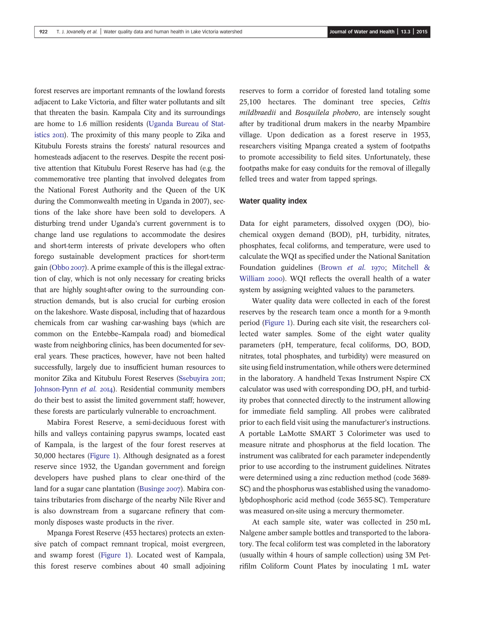forest reserves are important remnants of the lowland forests adjacent to Lake Victoria, and filter water pollutants and silt that threaten the basin. Kampala City and its surroundings are home to 1.6 million residents (Uganda Bureau of Statistics 2011). The proximity of this many people to Zika and Kitubulu Forests strains the forests' natural resources and homesteads adjacent to the reserves. Despite the recent positive attention that Kitubulu Forest Reserve has had (e.g. the commemorative tree planting that involved delegates from the National Forest Authority and the Queen of the UK during the Commonwealth meeting in Uganda in 2007), sections of the lake shore have been sold to developers. A disturbing trend under Uganda's current government is to change land use regulations to accommodate the desires and short-term interests of private developers who often forego sustainable development practices for short-term gain (Obbo  $2007$ ). A prime example of this is the illegal extraction of clay, which is not only necessary for creating bricks that are highly sought-after owing to the surrounding construction demands, but is also crucial for curbing erosion on the lakeshore. Waste disposal, including that of hazardous chemicals from car washing car-washing bays (which are common on the Entebbe–Kampala road) and biomedical waste from neighboring clinics, has been documented for several years. These practices, however, have not been halted successfully, largely due to insufficient human resources to monitor Zika and Kitubulu Forest Reserves (Ssebuyira 2011; Johnson-Pynn et al. 2014). Residential community members do their best to assist the limited government staff; however, these forests are particularly vulnerable to encroachment.

Mabira Forest Reserve, a semi-deciduous forest with hills and valleys containing papyrus swamps, located east of Kampala, is the largest of the four forest reserves at 30,000 hectares (Figure 1). Although designated as a forest reserve since 1932, the Ugandan government and foreign developers have pushed plans to clear one-third of the land for a sugar cane plantation (Businge 2007). Mabira contains tributaries from discharge of the nearby Nile River and is also downstream from a sugarcane refinery that commonly disposes waste products in the river.

Mpanga Forest Reserve (453 hectares) protects an extensive patch of compact remnant tropical, moist evergreen, and swamp forest (Figure 1). Located west of Kampala, this forest reserve combines about 40 small adjoining reserves to form a corridor of forested land totaling some 25,100 hectares. The dominant tree species, Celtis mildbraedii and Bosquilela phobero, are intensely sought after by traditional drum makers in the nearby Mpambire village. Upon dedication as a forest reserve in 1953, researchers visiting Mpanga created a system of footpaths to promote accessibility to field sites. Unfortunately, these footpaths make for easy conduits for the removal of illegally felled trees and water from tapped springs.

#### Water quality index

Data for eight parameters, dissolved oxygen (DO), biochemical oxygen demand (BOD), pH, turbidity, nitrates, phosphates, fecal coliforms, and temperature, were used to calculate the WQI as specified under the National Sanitation Foundation guidelines (Brown et al. 1970; Mitchell & William 2000). WQI reflects the overall health of a water system by assigning weighted values to the parameters.

Water quality data were collected in each of the forest reserves by the research team once a month for a 9-month period (Figure 1). During each site visit, the researchers collected water samples. Some of the eight water quality parameters (pH, temperature, fecal coliforms, DO, BOD, nitrates, total phosphates, and turbidity) were measured on site using field instrumentation, while others were determined in the laboratory. A handheld Texas Instrument Nspire CX calculator was used with corresponding DO, pH, and turbidity probes that connected directly to the instrument allowing for immediate field sampling. All probes were calibrated prior to each field visit using the manufacturer's instructions. A portable LaMotte SMART 3 Colorimeter was used to measure nitrate and phosphorus at the field location. The instrument was calibrated for each parameter independently prior to use according to the instrument guidelines. Nitrates were determined using a zinc reduction method (code 3689- SC) and the phosphorus was established using the vanadomolybdophosphoric acid method (code 3655-SC). Temperature was measured on-site using a mercury thermometer.

At each sample site, water was collected in 250 mL Nalgene amber sample bottles and transported to the laboratory. The fecal coliform test was completed in the laboratory (usually within 4 hours of sample collection) using 3M Petrifilm Coliform Count Plates by inoculating 1 mL water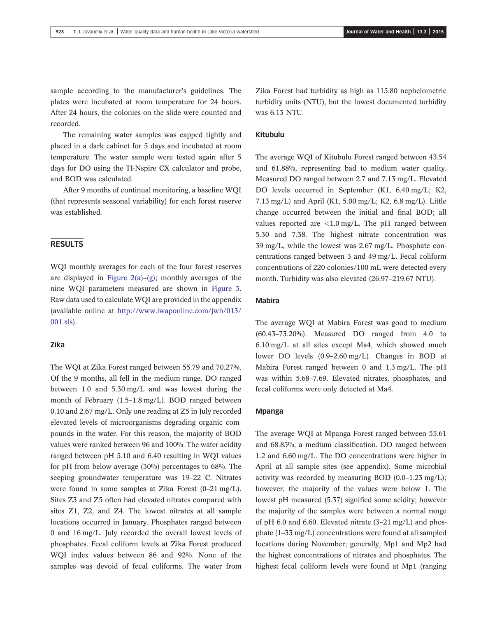sample according to the manufacturer's guidelines. The plates were incubated at room temperature for 24 hours. After 24 hours, the colonies on the slide were counted and recorded.

The remaining water samples was capped tightly and placed in a dark cabinet for 5 days and incubated at room temperature. The water sample were tested again after 5 days for DO using the TI-Nspire CX calculator and probe, and BOD was calculated.

After 9 months of continual monitoring, a baseline WQI (that represents seasonal variability) for each forest reserve was established.

# RESULTS

WQI monthly averages for each of the four forest reserves are displayed in Figure  $2(a)-(g)$ ; monthly averages of the nine WQI parameters measured are shown in Figure 3. Raw data used to calculate WQI are provided in the appendix (available online at [http://www.iwaponline.com/jwh/013/](http://www.iwaponline.com/jwh/013/001.xls) [001.xls](http://www.iwaponline.com/jwh/013/001.xls)).

#### Zika

The WQI at Zika Forest ranged between 55.79 and 70.27%. Of the 9 months, all fell in the medium range. DO ranged between 1.0 and 5.30 mg/L and was lowest during the month of February (1.5–1.8 mg/L). BOD ranged between 0.10 and 2.67 mg/L. Only one reading at Z5 in July recorded elevated levels of microorganisms degrading organic compounds in the water. For this reason, the majority of BOD values were ranked between 96 and 100%. The water acidity ranged between pH 5.10 and 6.40 resulting in WQI values for pH from below average (30%) percentages to 68%. The seeping groundwater temperature was 19–22 °C. Nitrates were found in some samples at Zika Forest (0–21 mg/L). Sites Z3 and Z5 often had elevated nitrates compared with sites Z1, Z2, and Z4. The lowest nitrates at all sample locations occurred in January. Phosphates ranged between 0 and 16 mg/L. July recorded the overall lowest levels of phosphates. Fecal coliform levels at Zika Forest produced WQI index values between 86 and 92%. None of the samples was devoid of fecal coliforms. The water from

Zika Forest had turbidity as high as 115.80 nephelometric turbidity units (NTU), but the lowest documented turbidity was 6.13 NTU.

## Kitubulu

The average WQI of Kitubulu Forest ranged between 43.54 and 61.88%, representing bad to medium water quality. Measured DO ranged between 2.7 and 7.13 mg/L. Elevated DO levels occurred in September (K1, 6.40 mg/L; K2, 7.13 mg/L) and April (K1, 5.00 mg/L; K2, 6.8 mg/L). Little change occurred between the initial and final BOD; all values reported are  $\langle 1.0 \text{ mg/L}$ . The pH ranged between 5.30 and 7.38. The highest nitrate concentration was 39 mg/L, while the lowest was 2.67 mg/L. Phosphate concentrations ranged between 3 and 49 mg/L. Fecal coliform concentrations of 220 colonies/100 mL were detected every month. Turbidity was also elevated (26.97–219.67 NTU).

#### Mabira

The average WQI at Mabira Forest was good to medium (60.43–73.20%). Measured DO ranged from 4.0 to 6.10 mg/L at all sites except Ma4, which showed much lower DO levels (0.9–2.60 mg/L). Changes in BOD at Mabira Forest ranged between 0 and 1.3 mg/L. The pH was within 5.68–7.69. Elevated nitrates, phosphates, and fecal coliforms were only detected at Ma4.

#### Mpanga

The average WQI at Mpanga Forest ranged between 55.61 and 68.85%, a medium classification. DO ranged between 1.2 and 6.60 mg/L. The DO concentrations were higher in April at all sample sites (see appendix). Some microbial activity was recorded by measuring BOD (0.0–1.23 mg/L); however, the majority of the values were below 1. The lowest pH measured (5.37) signified some acidity; however the majority of the samples were between a normal range of pH 6.0 and 6.60. Elevated nitrate (3–21 mg/L) and phosphate (1–33 mg/L) concentrations were found at all sampled locations during November; generally, Mp1 and Mp2 had the highest concentrations of nitrates and phosphates. The highest fecal coliform levels were found at Mp1 (ranging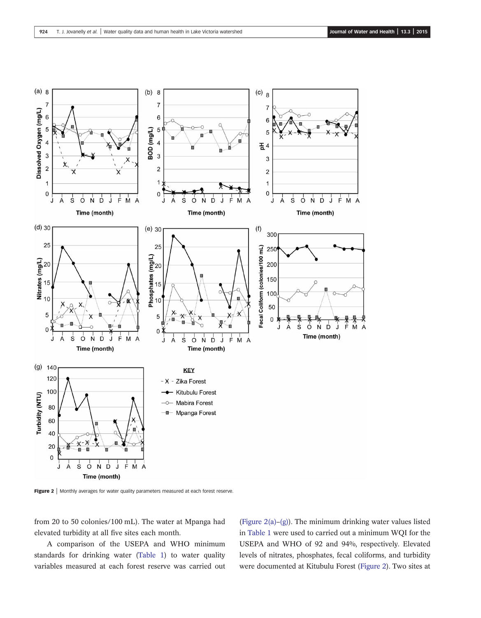

Figure 2 | Monthly averages for water quality parameters measured at each forest reserve.

from 20 to 50 colonies/100 mL). The water at Mpanga had elevated turbidity at all five sites each month.

A comparison of the USEPA and WHO minimum standards for drinking water (Table 1) to water quality variables measured at each forest reserve was carried out (Figure 2(a)–(g)). The minimum drinking water values listed in Table 1 were used to carried out a minimum WQI for the USEPA and WHO of 92 and 94%, respectively. Elevated levels of nitrates, phosphates, fecal coliforms, and turbidity were documented at Kitubulu Forest (Figure 2). Two sites at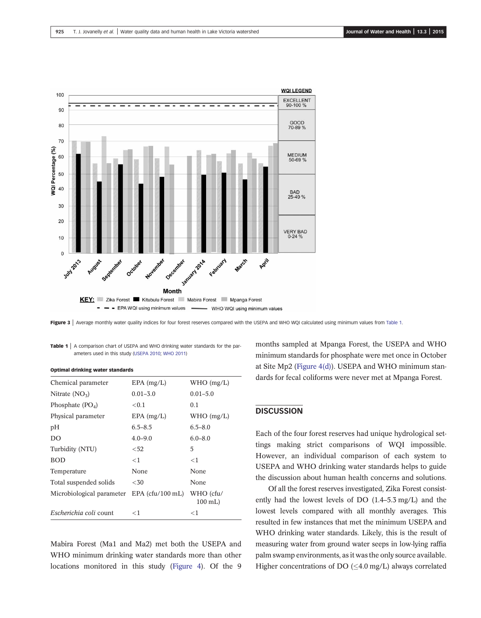

Figure 3 | Average monthly water quality indices for four forest reserves compared with the USEPA and WHO WQI calculated using minimum values from Table 1.

Table 1 | A comparison chart of USEPA and WHO drinking water standards for the parameters used in this study (USEPA 2010; WHO 2011)

|  |  |  | Optimal drinking water standards |
|--|--|--|----------------------------------|
|--|--|--|----------------------------------|

| Chemical parameter        | $EPA$ (mg/L)       | WHO (mg/L)             |
|---------------------------|--------------------|------------------------|
| Nitrate $(NO3)$           | $0.01 - 3.0$       | $0.01 - 5.0$           |
| Phosphate $(PO4)$         | ${<}0.1$           | 0.1                    |
| Physical parameter        | $EPA$ (mg/L)       | WHO (mg/L)             |
| pН                        | $6.5 - 8.5$        | $6.5 - 8.0$            |
| DO                        | $4.0 - 9.0$        | $6.0 - 8.0$            |
| Turbidity (NTU)           | < 52               | 5                      |
| <b>BOD</b>                | $<$ 1              | ${<}1$                 |
| Temperature               | None               | None                   |
| Total suspended solids    | $50$               | None                   |
| Microbiological parameter | EPA $(cfu/100 mL)$ | WHO (cfu/<br>$100$ mL) |
| Escherichia coli count    | $<$ 1              | $<$ 1                  |

Mabira Forest (Ma1 and Ma2) met both the USEPA and WHO minimum drinking water standards more than other locations monitored in this study (Figure 4). Of the 9 months sampled at Mpanga Forest, the USEPA and WHO minimum standards for phosphate were met once in October at Site Mp2 (Figure 4(d)). USEPA and WHO minimum standards for fecal coliforms were never met at Mpanga Forest.

## **DISCUSSION**

Each of the four forest reserves had unique hydrological settings making strict comparisons of WQI impossible. However, an individual comparison of each system to USEPA and WHO drinking water standards helps to guide the discussion about human health concerns and solutions.

Of all the forest reserves investigated, Zika Forest consistently had the lowest levels of DO (1.4–5.3 mg/L) and the lowest levels compared with all monthly averages. This resulted in few instances that met the minimum USEPA and WHO drinking water standards. Likely, this is the result of measuring water from ground water seeps in low-lying raffia palm swamp environments, as it was the only source available. Higher concentrations of DO  $(\leq 4.0 \text{ mg/L})$  always correlated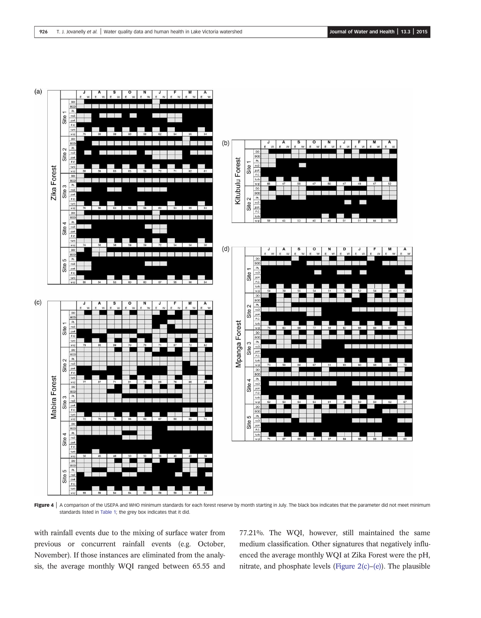

Figure 4 | A comparison of the USEPA and WHO minimum standards for each forest reserve by month starting in July. The black box indicates that the parameter did not meet minimum standards listed in Table 1; the grey box indicates that it did.

with rainfall events due to the mixing of surface water from previous or concurrent rainfall events (e.g. October, November). If those instances are eliminated from the analysis, the average monthly WQI ranged between 65.55 and 77.21%. The WQI, however, still maintained the same medium classification. Other signatures that negatively influenced the average monthly WQI at Zika Forest were the pH, nitrate, and phosphate levels (Figure 2(c)–(e)). The plausible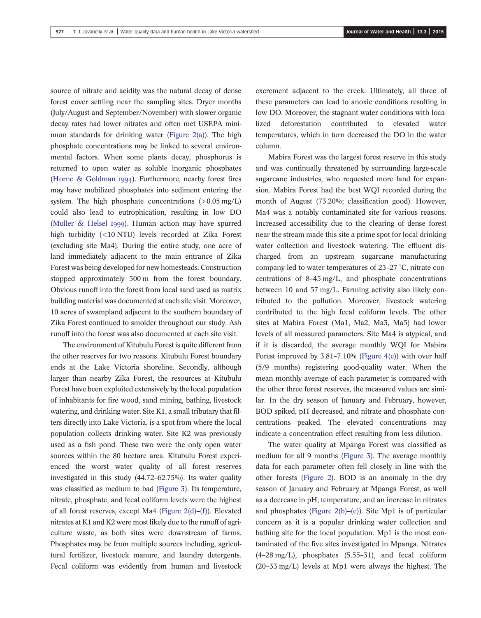source of nitrate and acidity was the natural decay of dense forest cover settling near the sampling sites. Dryer months (July/August and September/November) with slower organic decay rates had lower nitrates and often met USEPA minimum standards for drinking water (Figure  $2(a)$ ). The high phosphate concentrations may be linked to several environmental factors. When some plants decay, phosphorus is returned to open water as soluble inorganic phosphates (Horne & Goldman  $1994$ ). Furthermore, nearby forest fires may have mobilized phosphates into sediment entering the system. The high phosphate concentrations  $(>0.05 \text{ mg/L})$ could also lead to eutrophication, resulting in low DO (Muller  $&$  Helsel 1999). Human action may have spurred high turbidity (<10 NTU) levels recorded at Zika Forest (excluding site Ma4). During the entire study, one acre of land immediately adjacent to the main entrance of Zika Forest was being developed for new homesteads. Construction stopped approximately 500 m from the forest boundary. Obvious runoff into the forest from local sand used as matrix building material was documented at each site visit. Moreover, 10 acres of swampland adjacent to the southern boundary of Zika Forest continued to smolder throughout our study. Ash runoff into the forest was also documented at each site visit.

The environment of Kitubulu Forest is quite different from the other reserves for two reasons. Kitubulu Forest boundary ends at the Lake Victoria shoreline. Secondly, although larger than nearby Zika Forest, the resources at Kitubulu Forest have been exploited extensively by the local population of inhabitants for fire wood, sand mining, bathing, livestock watering, and drinking water. Site K1, a small tributary that filters directly into Lake Victoria, is a spot from where the local population collects drinking water. Site K2 was previously used as a fish pond. These two were the only open water sources within the 80 hectare area. Kitubulu Forest experienced the worst water quality of all forest reserves investigated in this study (44.72–62.75%). Its water quality was classified as medium to bad (Figure 3). Its temperature, nitrate, phosphate, and fecal coliform levels were the highest of all forest reserves, except Ma4 (Figure 2(d)–(f)). Elevated nitrates at K1 and K2 were most likely due to the runoff of agriculture waste, as both sites were downstream of farms. Phosphates may be from multiple sources including, agricultural fertilizer, livestock manure, and laundry detergents. Fecal coliform was evidently from human and livestock

excrement adjacent to the creek. Ultimately, all three of these parameters can lead to anoxic conditions resulting in low DO. Moreover, the stagnant water conditions with localized deforestation contributed to elevated water temperatures, which in turn decreased the DO in the water column.

Mabira Forest was the largest forest reserve in this study and was continually threatened by surrounding large-scale sugarcane industries, who requested more land for expansion. Mabira Forest had the best WQI recorded during the month of August (73.20%; classification good). However, Ma4 was a notably contaminated site for various reasons. Increased accessibility due to the clearing of dense forest near the stream made this site a prime spot for local drinking water collection and livestock watering. The effluent discharged from an upstream sugarcane manufacturing company led to water temperatures of  $23-27$  °C, nitrate concentrations of 8–45 mg/L, and phosphate concentrations between 10 and 57 mg/L. Farming activity also likely contributed to the pollution. Moreover, livestock watering contributed to the high fecal coliform levels. The other sites at Mabira Forest (Ma1, Ma2, Ma3, Ma5) had lower levels of all measured parameters. Site Ma4 is atypical, and if it is discarded, the average monthly WQI for Mabira Forest improved by  $3.81-7.10%$  (Figure 4(c)) with over half (5/9 months) registering good-quality water. When the mean monthly average of each parameter is compared with the other three forest reserves, the measured values are similar. In the dry season of January and February, however, BOD spiked, pH decreased, and nitrate and phosphate concentrations peaked. The elevated concentrations may indicate a concentration effect resulting from less dilution.

The water quality at Mpanga Forest was classified as medium for all 9 months (Figure 3). The average monthly data for each parameter often fell closely in line with the other forests (Figure 2). BOD is an anomaly in the dry season of January and February at Mpanga Forest, as well as a decrease in pH, temperature, and an increase in nitrates and phosphates (Figure 2(b)–(e)). Site Mp1 is of particular concern as it is a popular drinking water collection and bathing site for the local population. Mp1 is the most contaminated of the five sites investigated in Mpanga. Nitrates (4–28 mg/L), phosphates (5.55–31), and fecal coliform (20–33 mg/L) levels at Mp1 were always the highest. The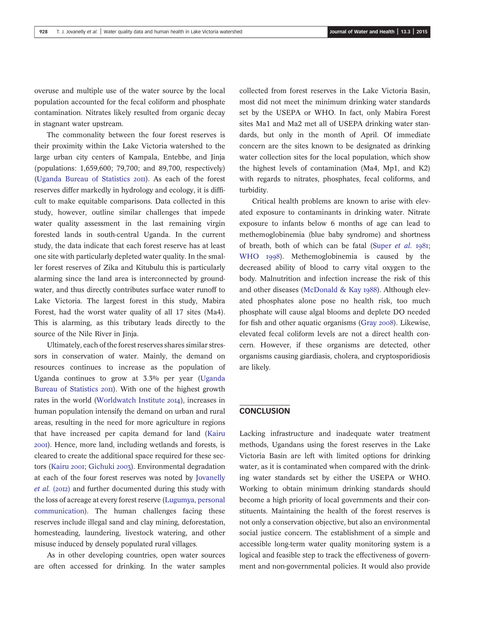overuse and multiple use of the water source by the local population accounted for the fecal coliform and phosphate contamination. Nitrates likely resulted from organic decay in stagnant water upstream.

The commonality between the four forest reserves is their proximity within the Lake Victoria watershed to the large urban city centers of Kampala, Entebbe, and Jinja (populations: 1,659,600; 79,700; and 89,700, respectively) (Uganda Bureau of Statistics 2011). As each of the forest reserves differ markedly in hydrology and ecology, it is difficult to make equitable comparisons. Data collected in this study, however, outline similar challenges that impede water quality assessment in the last remaining virgin forested lands in south-central Uganda. In the current study, the data indicate that each forest reserve has at least one site with particularly depleted water quality. In the smaller forest reserves of Zika and Kitubulu this is particularly alarming since the land area is interconnected by groundwater, and thus directly contributes surface water runoff to Lake Victoria. The largest forest in this study, Mabira Forest, had the worst water quality of all 17 sites (Ma4). This is alarming, as this tributary leads directly to the source of the Nile River in Jinja.

Ultimately, each of the forest reserves shares similar stressors in conservation of water. Mainly, the demand on resources continues to increase as the population of Uganda continues to grow at 3.3% per year (Uganda Bureau of Statistics 2011). With one of the highest growth rates in the world (Worldwatch Institute 2014), increases in human population intensify the demand on urban and rural areas, resulting in the need for more agriculture in regions that have increased per capita demand for land (Kairu ). Hence, more land, including wetlands and forests, is cleared to create the additional space required for these sectors (Kairu 2001; Gichuki 2003). Environmental degradation at each of the four forest reserves was noted by Jovanelly  $et \ al.$  (2012) and further documented during this study with the loss of acreage at every forest reserve (Lugumya, personal communication). The human challenges facing these reserves include illegal sand and clay mining, deforestation, homesteading, laundering, livestock watering, and other misuse induced by densely populated rural villages.

As in other developing countries, open water sources are often accessed for drinking. In the water samples collected from forest reserves in the Lake Victoria Basin, most did not meet the minimum drinking water standards set by the USEPA or WHO. In fact, only Mabira Forest sites Ma1 and Ma2 met all of USEPA drinking water standards, but only in the month of April. Of immediate concern are the sites known to be designated as drinking water collection sites for the local population, which show the highest levels of contamination (Ma4, Mp1, and K2) with regards to nitrates, phosphates, fecal coliforms, and turbidity.

Critical health problems are known to arise with elevated exposure to contaminants in drinking water. Nitrate exposure to infants below 6 months of age can lead to methemoglobinemia (blue baby syndrome) and shortness of breath, both of which can be fatal (Super et al.  $1981$ ; WHO 1998). Methemoglobinemia is caused by the decreased ability of blood to carry vital oxygen to the body. Malnutrition and infection increase the risk of this and other diseases (McDonald & Kay  $1988$ ). Although elevated phosphates alone pose no health risk, too much phosphate will cause algal blooms and deplete DO needed for fish and other aquatic organisms (Gray 2008). Likewise, elevated fecal coliform levels are not a direct health concern. However, if these organisms are detected, other organisms causing giardiasis, cholera, and cryptosporidiosis are likely.

### **CONCLUSION**

Lacking infrastructure and inadequate water treatment methods, Ugandans using the forest reserves in the Lake Victoria Basin are left with limited options for drinking water, as it is contaminated when compared with the drinking water standards set by either the USEPA or WHO. Working to obtain minimum drinking standards should become a high priority of local governments and their constituents. Maintaining the health of the forest reserves is not only a conservation objective, but also an environmental social justice concern. The establishment of a simple and accessible long-term water quality monitoring system is a logical and feasible step to track the effectiveness of government and non-governmental policies. It would also provide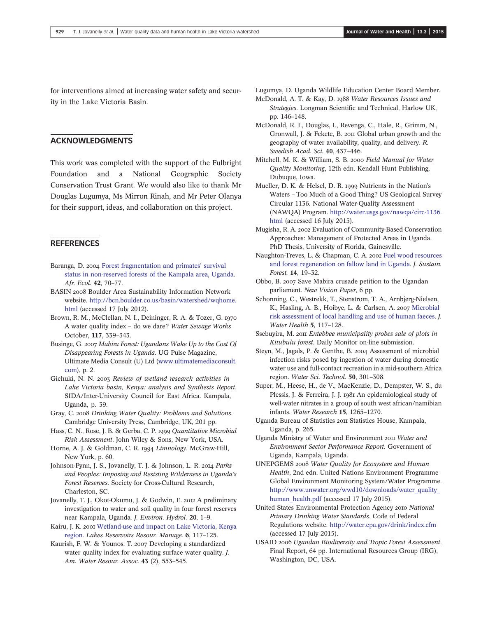for interventions aimed at increasing water safety and security in the Lake Victoria Basin.

### ACKNOWLEDGMENTS

This work was completed with the support of the Fulbright Foundation and a National Geographic Society Conservation Trust Grant. We would also like to thank Mr Douglas Lugumya, Ms Mirron Rinah, and Mr Peter Olanya for their support, ideas, and collaboration on this project.

## **REFERENCES**

- Baranga, D. 2004 [Forest fragmentation and primates](http://dx.doi.org/10.1111/j.1365-2028.2004.00464.x)' survival [status in non-reserved forests of the Kampala area, Uganda](http://dx.doi.org/10.1111/j.1365-2028.2004.00464.x). Afr. Ecol. 42, 70–77.
- BASIN 2008 Boulder Area Sustainability Information Network website. [http://bcn.boulder.co.us/basin/watershed/wqhome.](http://bcn.boulder.co.us/basin/watershed/wqhome.html) [html](http://bcn.boulder.co.us/basin/watershed/wqhome.html) (accessed 17 July 2012).
- Brown, R. M., McClellan, N. I., Deininger, R. A. & Tozer, G. A water quality index – do we dare? Water Sewage Works October, 117, 339–343.
- Businge, G. 2007 Mabira Forest: Ugandans Wake Up to the Cost Of Disappearing Forests in Uganda. UG Pulse Magazine, Ultimate Media Consult (U) Ltd ([www.ultimatemediaconsult.](http://www.ultimatemediaconsult.com) [com](http://www.ultimatemediaconsult.com)), p. 2.
- Gichuki, N. N. 2003 Review of wetland research activities in Lake Victoria basin, Kenya: analysis and Synthesis Report. SIDA/Inter-University Council for East Africa. Kampala, Uganda, p. 39.
- Gray, C. 2008 Drinking Water Quality: Problems and Solutions. Cambridge University Press, Cambridge, UK, 201 pp.
- Hass, C. N., Rose, J. B. & Gerba, C. P. 1999 Quantitative Microbial Risk Assessment. John Wiley & Sons, New York, USA.
- Horne, A. J. & Goldman, C. R. 1994 Limnology. McGraw-Hill, New York, p. 60.
- Johnson-Pynn, J. S., Jovanelly, T. J. & Johnson, L. R. 2014 Parks and Peoples: Imposing and Resisting Wilderness in Uganda's Forest Reserves. Society for Cross-Cultural Research, Charleston, SC.
- Jovanelly, T. J., Okot-Okumu, J. & Godwin, E. 2012 A preliminary investigation to water and soil quality in four forest reserves near Kampala, Uganda. J. Environ. Hydrol. 20, 1–9.
- Kairu, J. K. 2001 [Wetland-use and impact on Lake Victoria, Kenya](http://dx.doi.org/10.1046/j.1440-1770.2001.00135.x) [region.](http://dx.doi.org/10.1046/j.1440-1770.2001.00135.x) Lakes Reservoirs Resour. Manage. 6, 117–125.
- Kaurish, F. W. & Younos, T. 2007 Developing a standardized water quality index for evaluating surface water quality. J. Am. Water Resour. Assoc. 43 (2), 553–545.

Lugumya, D. Uganda Wildlife Education Center Board Member. McDonald, A. T. & Kay, D. 1988 Water Resources Issues and

- Strategies. Longman Scientific and Technical, Harlow UK, pp. 146–148.
- McDonald, R. I., Douglas, I., Revenga, C., Hale, R., Grimm, N., Gronwall, J. & Fekete, B. 2011 Global urban growth and the geography of water availability, quality, and delivery. R. Swedish Acad. Sci. 40, 437–446.
- Mitchell, M. K. & William, S. B. 2000 Field Manual for Water Quality Monitoring, 12th edn. Kendall Hunt Publishing, Dubuque, Iowa.
- Mueller, D. K. & Helsel, D. R. 1999 Nutrients in the Nation's Waters – Too Much of a Good Thing? US Geological Survey Circular 1136. National Water-Quality Assessment (NAWQA) Program. [http://water.usgs.gov/nawqa/circ-1136.](http://water.usgs.gov/nawqa/circ-1136.html) [html](http://water.usgs.gov/nawqa/circ-1136.html) (accessed 16 July 2015).
- Mugisha, R. A. 2002 Evaluation of Community-Based Conservation Approaches: Management of Protected Areas in Uganda. PhD Thesis, University of Florida, Gainesville.
- Naughton-Treves, L. & Chapman, C. A. 2002 [Fuel wood resources](http://dx.doi.org/10.1300/J091v14n04_03) [and forest regeneration on fallow land in Uganda.](http://dx.doi.org/10.1300/J091v14n04_03) J. Sustain. Forest. 14, 19–32.
- Obbo, B. 2007 Save Mabira crusade petition to the Ugandan parliament. New Vision Paper, 6 pp.
- Schonning, C., Westrekk, T., Stenstrom, T. A., Arnbjerg-Nielsen, K., Hasling, A. B., Hoibye, L. & Carlsen, A. 2007 [Microbial](http://dx.doi.org/10.2166/wh.2006.049) [risk assessment of local handling and use of human faeces.](http://dx.doi.org/10.2166/wh.2006.049) J. Water Health 5, 117–128.
- Ssebuyira, M. 2011 Entebbee municipality probes sale of plots in Kitubulu forest. Daily Monitor on-line submission.
- Steyn, M., Jagals, P. & Genthe, B. 2004 Assessment of microbial infection risks posed by ingestion of water during domestic water use and full-contact recreation in a mid-southern Africa region. Water Sci. Technol. 50, 301–308.
- Super, M., Heese, H., de V., MacKenzie, D., Dempster, W. S., du Plessis, J. & Ferreira, J. J. 1981 An epidemiological study of well-water nitrates in a group of south west african/namibian infants. Water Research 15, 1265–1270.
- Uganda Bureau of Statistics 2011 Statistics House, Kampala, Uganda, p. 265.
- Uganda Ministry of Water and Environment 2011 Water and Environment Sector Performance Report. Government of Uganda, Kampala, Uganda.
- UNEPGEMS Water Quality for Ecosystem and Human Health, 2nd edn. United Nations Environment Programme Global Environment Monitoring System/Water Programme. [http://www.unwater.org/wwd10/downloads/water\\_quality\\_](http://www.unwater.org/wwd10/downloads/water_quality_human_health.pdf) human health.pdf (accessed 17 July 2015).
- United States Environmental Protection Agency 2010 National Primary Drinking Water Standards. Code of Federal Regulations website. <http://water.epa.gov/drink/index.cfm> (accessed 17 July 2015).
- USAID Ugandan Biodiversity and Tropic Forest Assessment. Final Report, 64 pp. International Resources Group (IRG), Washington, DC, USA.